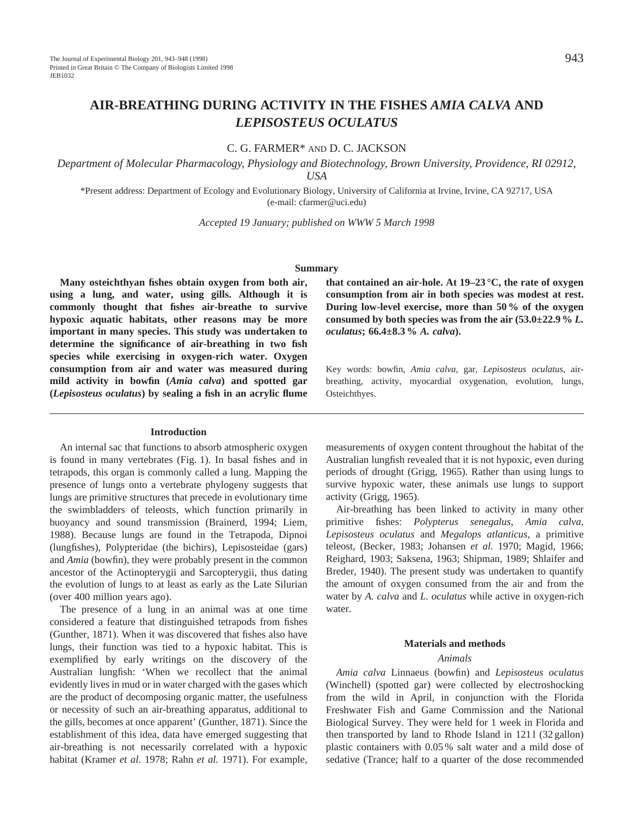# **AIR-BREATHING DURING ACTIVITY IN THE FISHES** *AMIA CALVA* **AND** *LEPISOSTEUS OCULATUS*

C. G. FARMER\* AND D. C. JACKSON

*Department of Molecular Pharmacology, Physiology and Biotechnology, Brown University, Providence, RI 02912, USA*

\*Present address: Department of Ecology and Evolutionary Biology, University of California at Irvine, Irvine, CA 92717, USA (e-mail: cfarmer@uci.edu)

*Accepted 19 January; published on WWW 5 March 1998*

# **Summary**

**Many osteichthyan fishes obtain oxygen from both air, using a lung, and water, using gills. Although it is commonly thought that fishes air-breathe to survive hypoxic aquatic habitats, other reasons may be more important in many species. This study was undertaken to determine the significance of air-breathing in two fish species while exercising in oxygen-rich water. Oxygen consumption from air and water was measured during mild activity in bowfin (***Amia calva***) and spotted gar (***Lepisosteus oculatus***) by sealing a fish in an acrylic flume**

### **Introduction**

An internal sac that functions to absorb atmospheric oxygen is found in many vertebrates (Fig. 1). In basal fishes and in tetrapods, this organ is commonly called a lung. Mapping the presence of lungs onto a vertebrate phylogeny suggests that lungs are primitive structures that precede in evolutionary time the swimbladders of teleosts, which function primarily in buoyancy and sound transmission (Brainerd, 1994; Liem, 1988). Because lungs are found in the Tetrapoda, Dipnoi (lungfishes), Polypteridae (the bichirs), Lepisosteidae (gars) and *Amia* (bowfin), they were probably present in the common ancestor of the Actinopterygii and Sarcopterygii, thus dating the evolution of lungs to at least as early as the Late Silurian (over 400 million years ago).

The presence of a lung in an animal was at one time considered a feature that distinguished tetrapods from fishes (Gunther, 1871). When it was discovered that fishes also have lungs, their function was tied to a hypoxic habitat. This is exemplified by early writings on the discovery of the Australian lungfish: 'When we recollect that the animal evidently lives in mud or in water charged with the gases which are the product of decomposing organic matter, the usefulness or necessity of such an air-breathing apparatus, additional to the gills, becomes at once apparent' (Gunther, 1871). Since the establishment of this idea, data have emerged suggesting that air-breathing is not necessarily correlated with a hypoxic habitat (Kramer *et al.* 1978; Rahn *et al.* 1971). For example,

**that contained an air-hole. At 19–23 °C, the rate of oxygen consumption from air in both species was modest at rest. During low-level exercise, more than 50 % of the oxygen consumed by both species was from the air (53.0±22.9 %** *L. oculatus***; 66.4±8.3 %** *A. calva***).**

Key words: bowfin, *Amia calva*, gar, *Lepisosteus oculatus*, airbreathing, activity, myocardial oxygenation, evolution, lungs, Osteichthyes.

measurements of oxygen content throughout the habitat of the Australian lungfish revealed that it is not hypoxic, even during periods of drought (Grigg, 1965). Rather than using lungs to survive hypoxic water, these animals use lungs to support activity (Grigg, 1965).

Air-breathing has been linked to activity in many other primitive fishes: *Polypterus senegalus*, *Amia calva*, *Lepisosteus oculatus* and *Megalops atlanticus*, a primitive teleost, (Becker, 1983; Johansen *et al.* 1970; Magid, 1966; Reighard, 1903; Saksena, 1963; Shipman, 1989; Shlaifer and Breder, 1940). The present study was undertaken to quantify the amount of oxygen consumed from the air and from the water by *A. calva* and *L. oculatus* while active in oxygen-rich water.

# **Materials and methods**

## *Animals*

*Amia calva* Linnaeus (bowfin) and *Lepisosteus oculatus* (Winchell) (spotted gar) were collected by electroshocking from the wild in April, in conjunction with the Florida Freshwater Fish and Game Commission and the National Biological Survey. They were held for 1 week in Florida and then transported by land to Rhode Island in 1211 (32 gallon) plastic containers with 0.05 % salt water and a mild dose of sedative (Trance; half to a quarter of the dose recommended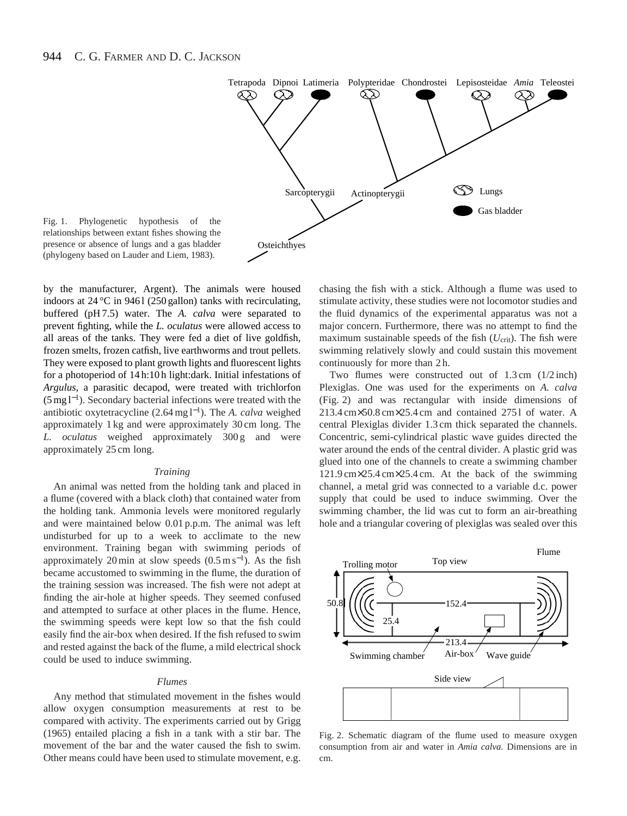

Fig. 1. Phylogenetic hypothesis of the relationships between extant fishes showing the presence or absence of lungs and a gas bladder (phylogeny based on Lauder and Liem, 1983).

by the manufacturer, Argent). The animals were housed indoors at  $24^{\circ}$ C in 9461 (250 gallon) tanks with recirculating, buffered (pH 7.5) water. The *A. calva* were separated to prevent fighting, while the *L. oculatus* were allowed access to all areas of the tanks. They were fed a diet of live goldfish, frozen smelts, frozen catfish, live earthworms and trout pellets. They were exposed to plant growth lights and fluorescent lights for a photoperiod of 14 h:10 h light:dark. Initial infestations of *Argulus*, a parasitic decapod, were treated with trichlorfon (5 mg l<sup>−</sup>1). Secondary bacterial infections were treated with the antibiotic oxytetracycline (2.64 mg l<sup>−</sup>1). The *A. calva* weighed approximately 1 kg and were approximately 30 cm long. The *L. oculatus* weighed approximately 300 g and were approximately 25 cm long.

#### *Training*

An animal was netted from the holding tank and placed in a flume (covered with a black cloth) that contained water from the holding tank. Ammonia levels were monitored regularly and were maintained below 0.01 p.p.m. The animal was left undisturbed for up to a week to acclimate to the new environment. Training began with swimming periods of approximately 20 min at slow speeds  $(0.5 \text{ m s}^{-1})$ . As the fish became accustomed to swimming in the flume, the duration of the training session was increased. The fish were not adept at finding the air-hole at higher speeds. They seemed confused and attempted to surface at other places in the flume. Hence, the swimming speeds were kept low so that the fish could easily find the air-box when desired. If the fish refused to swim and rested against the back of the flume, a mild electrical shock could be used to induce swimming.

### *Flumes*

Any method that stimulated movement in the fishes would allow oxygen consumption measurements at rest to be compared with activity. The experiments carried out by Grigg (1965) entailed placing a fish in a tank with a stir bar. The movement of the bar and the water caused the fish to swim. Other means could have been used to stimulate movement, e.g.

chasing the fish with a stick. Although a flume was used to stimulate activity, these studies were not locomotor studies and the fluid dynamics of the experimental apparatus was not a major concern. Furthermore, there was no attempt to find the maximum sustainable speeds of the fish  $(U_{\text{crit}})$ . The fish were swimming relatively slowly and could sustain this movement continuously for more than 2 h.

Two flumes were constructed out of 1.3 cm (1/2 inch) Plexiglas. One was used for the experiments on *A. calva* (Fig. 2) and was rectangular with inside dimensions of 213.4 cm×50.8 cm×25.4 cm and contained 275 l of water. A central Plexiglas divider 1.3 cm thick separated the channels. Concentric, semi-cylindrical plastic wave guides directed the water around the ends of the central divider. A plastic grid was glued into one of the channels to create a swimming chamber 121.9 cm×25.4 cm×25.4 cm. At the back of the swimming channel, a metal grid was connected to a variable d.c. power supply that could be used to induce swimming. Over the swimming chamber, the lid was cut to form an air-breathing hole and a triangular covering of plexiglas was sealed over this



Fig. 2. Schematic diagram of the flume used to measure oxygen consumption from air and water in *Amia calva.* Dimensions are in cm.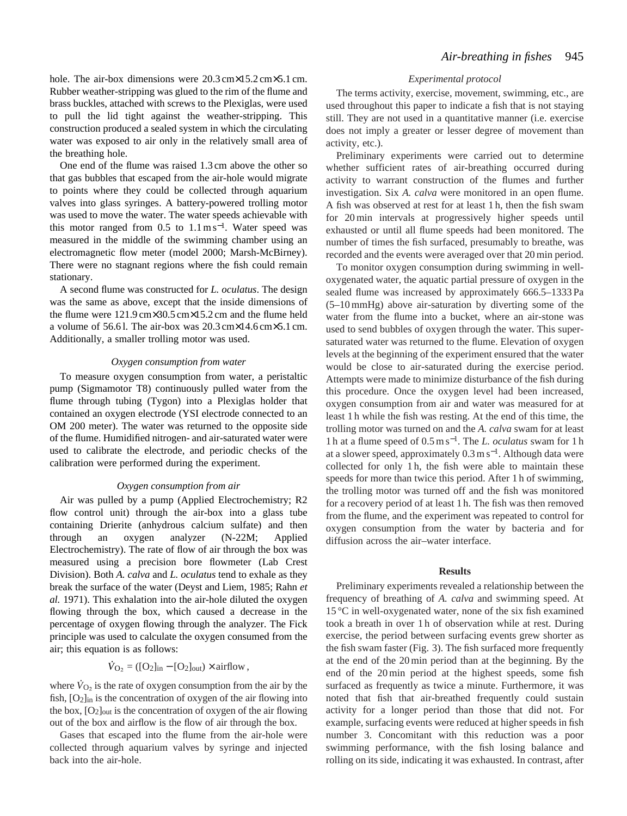hole. The air-box dimensions were 20.3 cm×15.2 cm×5.1 cm. Rubber weather-stripping was glued to the rim of the flume and brass buckles, attached with screws to the Plexiglas, were used to pull the lid tight against the weather-stripping. This construction produced a sealed system in which the circulating water was exposed to air only in the relatively small area of the breathing hole.

One end of the flume was raised 1.3 cm above the other so that gas bubbles that escaped from the air-hole would migrate to points where they could be collected through aquarium valves into glass syringes. A battery-powered trolling motor was used to move the water. The water speeds achievable with this motor ranged from  $0.5$  to  $1.1 \text{ m s}^{-1}$ . Water speed was measured in the middle of the swimming chamber using an electromagnetic flow meter (model 2000; Marsh-McBirney). There were no stagnant regions where the fish could remain stationary.

A second flume was constructed for *L. oculatus*. The design was the same as above, except that the inside dimensions of the flume were 121.9 cm×30.5 cm×15.2 cm and the flume held a volume of 56.6 l. The air-box was 20.3 cm×14.6 cm×5.1 cm. Additionally, a smaller trolling motor was used.

# *Oxygen consumption from water*

To measure oxygen consumption from water, a peristaltic pump (Sigmamotor T8) continuously pulled water from the flume through tubing (Tygon) into a Plexiglas holder that contained an oxygen electrode (YSI electrode connected to an OM 200 meter). The water was returned to the opposite side of the flume. Humidified nitrogen- and air-saturated water were used to calibrate the electrode, and periodic checks of the calibration were performed during the experiment.

#### *Oxygen consumption from air*

Air was pulled by a pump (Applied Electrochemistry; R2 flow control unit) through the air-box into a glass tube containing Drierite (anhydrous calcium sulfate) and then through an oxygen analyzer (N-22M; Applied Electrochemistry). The rate of flow of air through the box was measured using a precision bore flowmeter (Lab Crest Division). Both *A. calva* and *L. oculatus* tend to exhale as they break the surface of the water (Deyst and Liem, 1985; Rahn *et al.* 1971). This exhalation into the air-hole diluted the oxygen flowing through the box, which caused a decrease in the percentage of oxygen flowing through the analyzer. The Fick principle was used to calculate the oxygen consumed from the air; this equation is as follows:

$$
\dot{V}_{\text{O}_2} = ([\text{O}_2]_{\text{in}} - [\text{O}_2]_{\text{out}}) \times \text{airflow},
$$

where  $\dot{V}_{\text{O}_2}$  is the rate of oxygen consumption from the air by the fish,  $[O_2]$ <sub>in</sub> is the concentration of oxygen of the air flowing into the box,  $[O_2]_{out}$  is the concentration of oxygen of the air flowing out of the box and airflow is the flow of air through the box.

Gases that escaped into the flume from the air-hole were collected through aquarium valves by syringe and injected back into the air-hole.

# *Experimental protocol*

The terms activity, exercise, movement, swimming, etc., are used throughout this paper to indicate a fish that is not staying still. They are not used in a quantitative manner (i.e. exercise does not imply a greater or lesser degree of movement than activity, etc.).

Preliminary experiments were carried out to determine whether sufficient rates of air-breathing occurred during activity to warrant construction of the flumes and further investigation. Six *A. calva* were monitored in an open flume. A fish was observed at rest for at least 1 h, then the fish swam for 20 min intervals at progressively higher speeds until exhausted or until all flume speeds had been monitored. The number of times the fish surfaced, presumably to breathe, was recorded and the events were averaged over that 20 min period.

To monitor oxygen consumption during swimming in welloxygenated water, the aquatic partial pressure of oxygen in the sealed flume was increased by approximately 666.5–1333 Pa (5–10 mmHg) above air-saturation by diverting some of the water from the flume into a bucket, where an air-stone was used to send bubbles of oxygen through the water. This supersaturated water was returned to the flume. Elevation of oxygen levels at the beginning of the experiment ensured that the water would be close to air-saturated during the exercise period. Attempts were made to minimize disturbance of the fish during this procedure. Once the oxygen level had been increased, oxygen consumption from air and water was measured for at least 1 h while the fish was resting. At the end of this time, the trolling motor was turned on and the *A. calva* swam for at least 1 h at a flume speed of 0.5 m s<sup>−</sup>1. The *L. oculatus* swam for 1 h at a slower speed, approximately  $0.3 \text{ m s}^{-1}$ . Although data were collected for only 1 h, the fish were able to maintain these speeds for more than twice this period. After 1 h of swimming, the trolling motor was turned off and the fish was monitored for a recovery period of at least 1 h. The fish was then removed from the flume, and the experiment was repeated to control for oxygen consumption from the water by bacteria and for diffusion across the air–water interface.

# **Results**

Preliminary experiments revealed a relationship between the frequency of breathing of *A. calva* and swimming speed. At 15 °C in well-oxygenated water, none of the six fish examined took a breath in over 1 h of observation while at rest. During exercise, the period between surfacing events grew shorter as the fish swam faster (Fig. 3). The fish surfaced more frequently at the end of the 20 min period than at the beginning. By the end of the 20 min period at the highest speeds, some fish surfaced as frequently as twice a minute. Furthermore, it was noted that fish that air-breathed frequently could sustain activity for a longer period than those that did not. For example, surfacing events were reduced at higher speeds in fish number 3. Concomitant with this reduction was a poor swimming performance, with the fish losing balance and rolling on its side, indicating it was exhausted. In contrast, after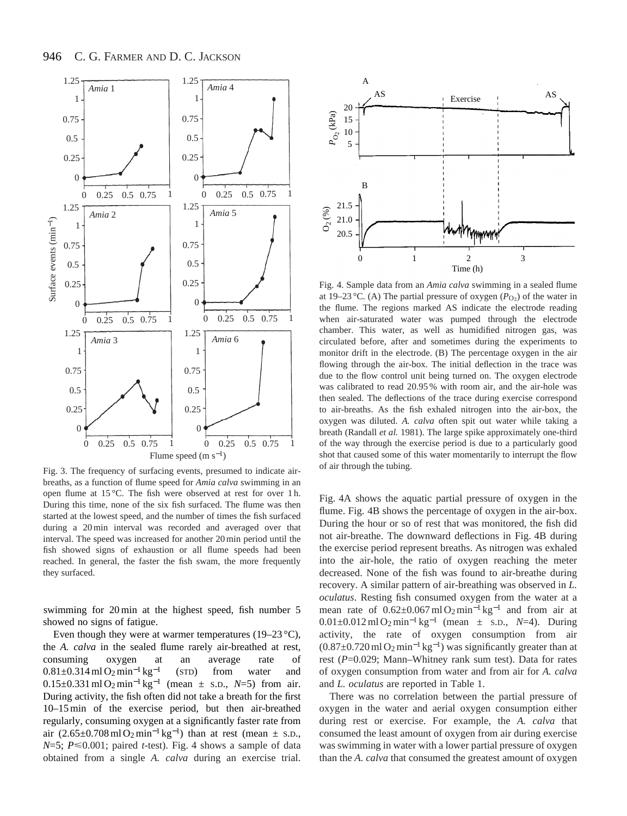

Fig. 3. The frequency of surfacing events, presumed to indicate airbreaths, as a function of flume speed for *Amia calva* swimming in an open flume at 15 °C. The fish were observed at rest for over 1 h. During this time, none of the six fish surfaced. The flume was then started at the lowest speed, and the number of times the fish surfaced during a 20 min interval was recorded and averaged over that interval. The speed was increased for another 20 min period until the fish showed signs of exhaustion or all flume speeds had been reached. In general, the faster the fish swam, the more frequently they surfaced.

swimming for 20 min at the highest speed, fish number 5 showed no signs of fatigue.

Even though they were at warmer temperatures (19–23  $^{\circ}$ C), the *A. calva* in the sealed flume rarely air-breathed at rest, consuming oxygen at an average rate of  $0.81\pm0.314$  ml O<sub>2</sub> min<sup>-1</sup> kg<sup>-1</sup> (STD) from water and 0.15±0.331 ml O2min−<sup>1</sup> kg−<sup>1</sup> (mean ± S.D., *N*=5) from air. During activity, the fish often did not take a breath for the first 10–15 min of the exercise period, but then air-breathed regularly, consuming oxygen at a significantly faster rate from air  $(2.65\pm0.708 \text{ ml O}_2 \text{ min}^{-1} \text{ kg}^{-1})$  than at rest (mean  $\pm$  s.D.,  $N=5$ ;  $P \le 0.001$ ; paired *t*-test). Fig. 4 shows a sample of data obtained from a single *A. calva* during an exercise trial.



Fig. 4. Sample data from an *Amia calva* swimming in a sealed flume at 19–23 °C. (A) The partial pressure of oxygen  $(P<sub>O2</sub>)$  of the water in the flume. The regions marked AS indicate the electrode reading when air-saturated water was pumped through the electrode chamber. This water, as well as humidified nitrogen gas, was circulated before, after and sometimes during the experiments to monitor drift in the electrode. (B) The percentage oxygen in the air flowing through the air-box. The initial deflection in the trace was due to the flow control unit being turned on. The oxygen electrode was calibrated to read 20.95 % with room air, and the air-hole was then sealed. The deflections of the trace during exercise correspond to air-breaths. As the fish exhaled nitrogen into the air-box, the oxygen was diluted. *A. calva* often spit out water while taking a breath (Randall *et al.* 1981). The large spike approximately one-third of the way through the exercise period is due to a particularly good shot that caused some of this water momentarily to interrupt the flow of air through the tubing.

Fig. 4A shows the aquatic partial pressure of oxygen in the flume. Fig. 4B shows the percentage of oxygen in the air-box. During the hour or so of rest that was monitored, the fish did not air-breathe. The downward deflections in Fig. 4B during the exercise period represent breaths. As nitrogen was exhaled into the air-hole, the ratio of oxygen reaching the meter decreased. None of the fish was found to air-breathe during recovery. A similar pattern of air-breathing was observed in *L. oculatus*. Resting fish consumed oxygen from the water at a mean rate of  $0.62 \pm 0.067$  ml O<sub>2</sub>min<sup>-1</sup> kg<sup>-1</sup> and from air at 0.01±0.012 ml O2min−<sup>1</sup> kg<sup>−</sup>1 (mean ± S.D., *N*=4). During activity, the rate of oxygen consumption from air  $(0.87±0.720 \text{ ml } O_2 \text{ min}^{-1} \text{ kg}^{-1})$  was significantly greater than at rest (*P*=0.029; Mann–Whitney rank sum test). Data for rates of oxygen consumption from water and from air for *A. calva* and *L. oculatus* are reported in Table 1.

There was no correlation between the partial pressure of oxygen in the water and aerial oxygen consumption either during rest or exercise. For example, the *A. calva* that consumed the least amount of oxygen from air during exercise was swimming in water with a lower partial pressure of oxygen than the *A. calva* that consumed the greatest amount of oxygen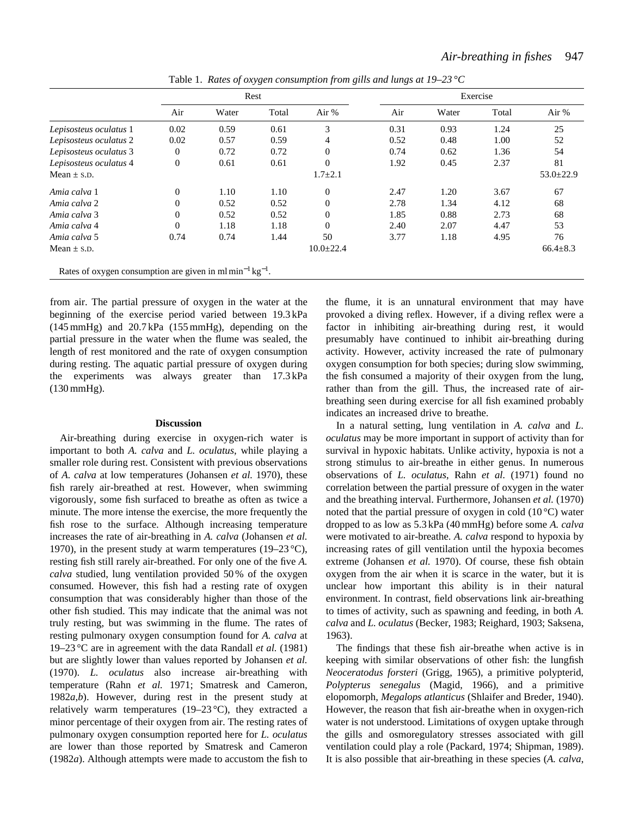|                                                                                  | Rest           |       |       |                 | Exercise |       |       |                 |
|----------------------------------------------------------------------------------|----------------|-------|-------|-----------------|----------|-------|-------|-----------------|
|                                                                                  | Air            | Water | Total | Air %           | Air      | Water | Total | Air %           |
| Lepisosteus oculatus 1                                                           | 0.02           | 0.59  | 0.61  | 3               | 0.31     | 0.93  | 1.24  | 25              |
| Lepisosteus oculatus 2                                                           | 0.02           | 0.57  | 0.59  | 4               | 0.52     | 0.48  | 1.00  | 52              |
| Lepisosteus oculatus 3                                                           | $\theta$       | 0.72  | 0.72  | $\mathbf{0}$    | 0.74     | 0.62  | 1.36  | 54              |
| Lepisosteus oculatus 4                                                           | $\overline{0}$ | 0.61  | 0.61  | $\Omega$        | 1.92     | 0.45  | 2.37  | 81              |
| Mean $\pm$ s.D.                                                                  |                |       |       | $1.7 \pm 2.1$   |          |       |       | $53.0 \pm 22.9$ |
| Amia calva 1                                                                     | $\theta$       | 1.10  | 1.10  | $\Omega$        | 2.47     | 1.20  | 3.67  | 67              |
| Amia calva 2                                                                     | $\Omega$       | 0.52  | 0.52  | $\Omega$        | 2.78     | 1.34  | 4.12  | 68              |
| Amia calva 3                                                                     | $\Omega$       | 0.52  | 0.52  | $\Omega$        | 1.85     | 0.88  | 2.73  | 68              |
| Amia calva 4                                                                     | $\Omega$       | 1.18  | 1.18  | $\Omega$        | 2.40     | 2.07  | 4.47  | 53              |
| Amia calva 5                                                                     | 0.74           | 0.74  | 1.44  | 50              | 3.77     | 1.18  | 4.95  | 76              |
| Mean $\pm$ s.D.                                                                  |                |       |       | $10.0 \pm 22.4$ |          |       |       | $66.4 \pm 8.3$  |
| Rates of oxygen consumption are given in ml min <sup>-1</sup> kg <sup>-1</sup> . |                |       |       |                 |          |       |       |                 |

Table 1. *Rates of oxygen consumption from gills and lungs at 19–23 °C*

from air. The partial pressure of oxygen in the water at the beginning of the exercise period varied between 19.3 kPa (145 mmHg) and 20.7 kPa (155 mmHg), depending on the partial pressure in the water when the flume was sealed, the length of rest monitored and the rate of oxygen consumption during resting. The aquatic partial pressure of oxygen during the experiments was always greater than 17.3 kPa (130 mmHg).

#### **Discussion**

Air-breathing during exercise in oxygen-rich water is important to both *A. calva* and *L. oculatus*, while playing a smaller role during rest. Consistent with previous observations of *A. calva* at low temperatures (Johansen *et al.* 1970), these fish rarely air-breathed at rest. However, when swimming vigorously, some fish surfaced to breathe as often as twice a minute. The more intense the exercise, the more frequently the fish rose to the surface. Although increasing temperature increases the rate of air-breathing in *A. calva* (Johansen *et al.* 1970), in the present study at warm temperatures (19–23 °C), resting fish still rarely air-breathed. For only one of the five *A. calva* studied, lung ventilation provided 50 % of the oxygen consumed. However, this fish had a resting rate of oxygen consumption that was considerably higher than those of the other fish studied. This may indicate that the animal was not truly resting, but was swimming in the flume. The rates of resting pulmonary oxygen consumption found for *A. calva* at 19–23 °C are in agreement with the data Randall *et al.* (1981) but are slightly lower than values reported by Johansen *et al.* (1970). *L. oculatus* also increase air-breathing with temperature (Rahn *et al.* 1971; Smatresk and Cameron, 1982*a*,*b*). However, during rest in the present study at relatively warm temperatures (19–23 °C), they extracted a minor percentage of their oxygen from air. The resting rates of pulmonary oxygen consumption reported here for *L. oculatus* are lower than those reported by Smatresk and Cameron (1982*a*). Although attempts were made to accustom the fish to

the flume, it is an unnatural environment that may have provoked a diving reflex. However, if a diving reflex were a factor in inhibiting air-breathing during rest, it would presumably have continued to inhibit air-breathing during activity. However, activity increased the rate of pulmonary oxygen consumption for both species; during slow swimming, the fish consumed a majority of their oxygen from the lung, rather than from the gill. Thus, the increased rate of airbreathing seen during exercise for all fish examined probably indicates an increased drive to breathe.

In a natural setting, lung ventilation in *A. calva* and *L. oculatus* may be more important in support of activity than for survival in hypoxic habitats. Unlike activity, hypoxia is not a strong stimulus to air-breathe in either genus. In numerous observations of *L. oculatus*, Rahn *et al.* (1971) found no correlation between the partial pressure of oxygen in the water and the breathing interval. Furthermore, Johansen *et al.* (1970) noted that the partial pressure of oxygen in cold  $(10^{\circ}C)$  water dropped to as low as 5.3 kPa (40 mmHg) before some *A. calva* were motivated to air-breathe. *A. calva* respond to hypoxia by increasing rates of gill ventilation until the hypoxia becomes extreme (Johansen *et al.* 1970). Of course, these fish obtain oxygen from the air when it is scarce in the water, but it is unclear how important this ability is in their natural environment. In contrast, field observations link air-breathing to times of activity, such as spawning and feeding, in both *A. calva* and *L. oculatus* (Becker, 1983; Reighard, 1903; Saksena, 1963).

The findings that these fish air-breathe when active is in keeping with similar observations of other fish: the lungfish *Neoceratodus forsteri* (Grigg, 1965), a primitive polypterid, *Polypterus senegalus* (Magid, 1966), and a primitive elopomorph, *Megalops atlanticus* (Shlaifer and Breder, 1940). However, the reason that fish air-breathe when in oxygen-rich water is not understood. Limitations of oxygen uptake through the gills and osmoregulatory stresses associated with gill ventilation could play a role (Packard, 1974; Shipman, 1989). It is also possible that air-breathing in these species (*A. calva*,